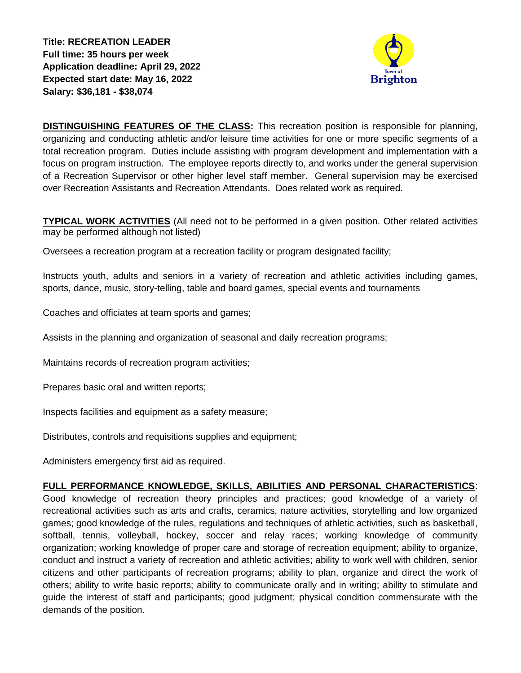**Title: RECREATION LEADER Full time: 35 hours per week Application deadline: April 29, 2022 Expected start date: May 16, 2022 Salary: \$36,181 - \$38,074**



**DISTINGUISHING FEATURES OF THE CLASS:** This recreation position is responsible for planning, organizing and conducting athletic and/or leisure time activities for one or more specific segments of a total recreation program. Duties include assisting with program development and implementation with a focus on program instruction. The employee reports directly to, and works under the general supervision of a Recreation Supervisor or other higher level staff member. General supervision may be exercised over Recreation Assistants and Recreation Attendants. Does related work as required.

**TYPICAL WORK ACTIVITIES** (All need not to be performed in a given position. Other related activities may be performed although not listed)

Oversees a recreation program at a recreation facility or program designated facility;

Instructs youth, adults and seniors in a variety of recreation and athletic activities including games, sports, dance, music, story-telling, table and board games, special events and tournaments

Coaches and officiates at team sports and games;

Assists in the planning and organization of seasonal and daily recreation programs;

Maintains records of recreation program activities;

Prepares basic oral and written reports;

Inspects facilities and equipment as a safety measure;

Distributes, controls and requisitions supplies and equipment;

Administers emergency first aid as required.

## **FULL PERFORMANCE KNOWLEDGE, SKILLS, ABILITIES AND PERSONAL CHARACTERISTICS**:

Good knowledge of recreation theory principles and practices; good knowledge of a variety of recreational activities such as arts and crafts, ceramics, nature activities, storytelling and low organized games; good knowledge of the rules, regulations and techniques of athletic activities, such as basketball, softball, tennis, volleyball, hockey, soccer and relay races; working knowledge of community organization; working knowledge of proper care and storage of recreation equipment; ability to organize, conduct and instruct a variety of recreation and athletic activities; ability to work well with children, senior citizens and other participants of recreation programs; ability to plan, organize and direct the work of others; ability to write basic reports; ability to communicate orally and in writing; ability to stimulate and guide the interest of staff and participants; good judgment; physical condition commensurate with the demands of the position.